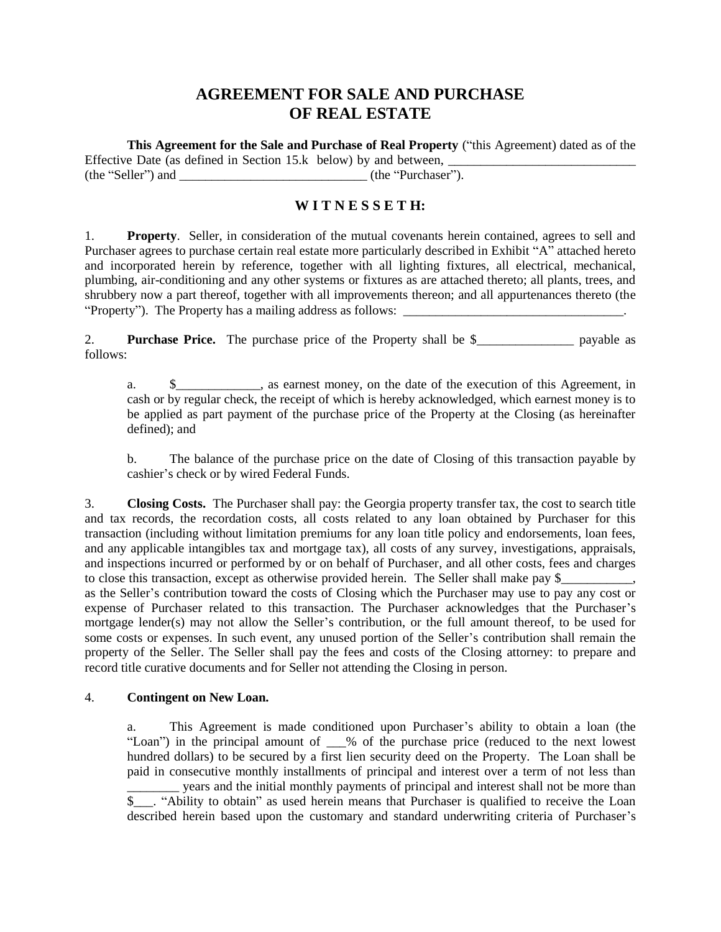# **AGREEMENT FOR SALE AND PURCHASE OF REAL ESTATE**

**This Agreement for the Sale and Purchase of Real Property** ("this Agreement) dated as of the Effective Date (as defined in Section 15. $k$  below) by and between,  $\overline{\phantom{a}}$ (the "Seller") and \_\_\_\_\_\_\_\_\_\_\_\_\_\_\_\_\_\_\_\_\_\_\_\_\_\_\_\_\_ (the "Purchaser").

## **W I T N E S S E T H:**

1. **Property**. Seller, in consideration of the mutual covenants herein contained, agrees to sell and Purchaser agrees to purchase certain real estate more particularly described in Exhibit "A" attached hereto and incorporated herein by reference, together with all lighting fixtures, all electrical, mechanical, plumbing, air-conditioning and any other systems or fixtures as are attached thereto; all plants, trees, and shrubbery now a part thereof, together with all improvements thereon; and all appurtenances thereto (the "Property"). The Property has a mailing address as follows:

2. **Purchase Price.** The purchase price of the Property shall be \$\_\_\_\_\_\_\_\_\_\_\_\_\_\_\_ payable as follows:

a.  $\quad \quad \text{\&} \quad \quad \text{as}$  as earnest money, on the date of the execution of this Agreement, in cash or by regular check, the receipt of which is hereby acknowledged, which earnest money is to be applied as part payment of the purchase price of the Property at the Closing (as hereinafter defined); and

b. The balance of the purchase price on the date of Closing of this transaction payable by cashier's check or by wired Federal Funds.

3. **Closing Costs.** The Purchaser shall pay: the Georgia property transfer tax, the cost to search title and tax records, the recordation costs, all costs related to any loan obtained by Purchaser for this transaction (including without limitation premiums for any loan title policy and endorsements, loan fees, and any applicable intangibles tax and mortgage tax), all costs of any survey, investigations, appraisals, and inspections incurred or performed by or on behalf of Purchaser, and all other costs, fees and charges to close this transaction, except as otherwise provided herein. The Seller shall make pay \$ as the Seller's contribution toward the costs of Closing which the Purchaser may use to pay any cost or expense of Purchaser related to this transaction. The Purchaser acknowledges that the Purchaser's mortgage lender(s) may not allow the Seller's contribution, or the full amount thereof, to be used for some costs or expenses. In such event, any unused portion of the Seller's contribution shall remain the property of the Seller. The Seller shall pay the fees and costs of the Closing attorney: to prepare and record title curative documents and for Seller not attending the Closing in person.

#### 4. **Contingent on New Loan.**

a. This Agreement is made conditioned upon Purchaser's ability to obtain a loan (the "Loan") in the principal amount of  $\%$  of the purchase price (reduced to the next lowest hundred dollars) to be secured by a first lien security deed on the Property. The Loan shall be paid in consecutive monthly installments of principal and interest over a term of not less than \_\_\_\_\_\_\_\_ years and the initial monthly payments of principal and interest shall not be more than \$\_\_\_. "Ability to obtain" as used herein means that Purchaser is qualified to receive the Loan described herein based upon the customary and standard underwriting criteria of Purchaser's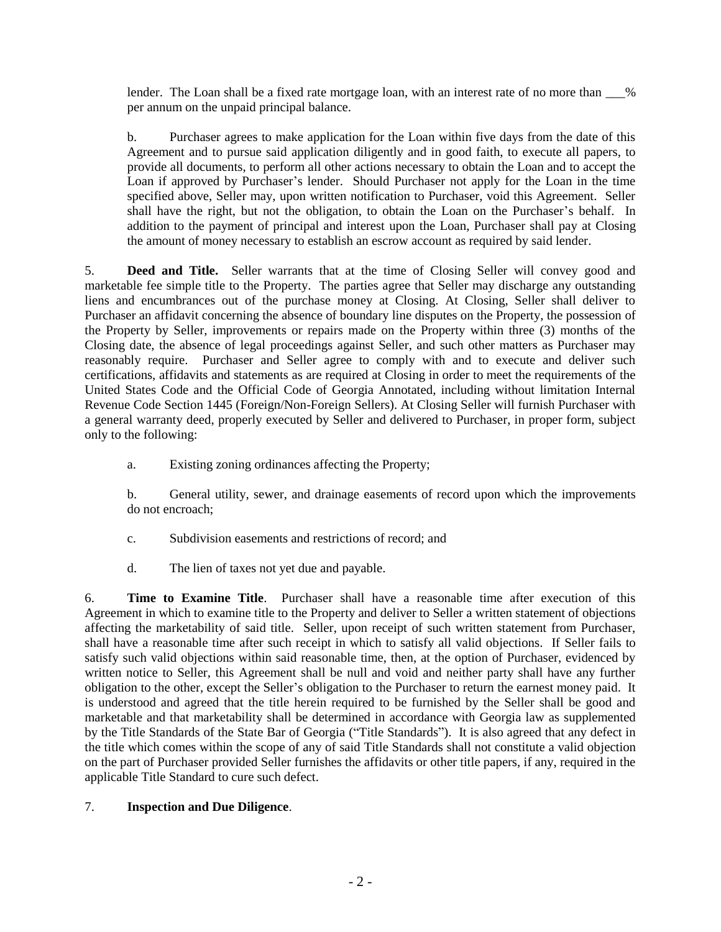lender. The Loan shall be a fixed rate mortgage loan, with an interest rate of no more than  $\%$ per annum on the unpaid principal balance.

b. Purchaser agrees to make application for the Loan within five days from the date of this Agreement and to pursue said application diligently and in good faith, to execute all papers, to provide all documents, to perform all other actions necessary to obtain the Loan and to accept the Loan if approved by Purchaser's lender. Should Purchaser not apply for the Loan in the time specified above, Seller may, upon written notification to Purchaser, void this Agreement. Seller shall have the right, but not the obligation, to obtain the Loan on the Purchaser's behalf. In addition to the payment of principal and interest upon the Loan, Purchaser shall pay at Closing the amount of money necessary to establish an escrow account as required by said lender.

5. **Deed and Title.** Seller warrants that at the time of Closing Seller will convey good and marketable fee simple title to the Property. The parties agree that Seller may discharge any outstanding liens and encumbrances out of the purchase money at Closing. At Closing, Seller shall deliver to Purchaser an affidavit concerning the absence of boundary line disputes on the Property, the possession of the Property by Seller, improvements or repairs made on the Property within three (3) months of the Closing date, the absence of legal proceedings against Seller, and such other matters as Purchaser may reasonably require. Purchaser and Seller agree to comply with and to execute and deliver such certifications, affidavits and statements as are required at Closing in order to meet the requirements of the United States Code and the Official Code of Georgia Annotated, including without limitation Internal Revenue Code Section 1445 (Foreign/Non-Foreign Sellers). At Closing Seller will furnish Purchaser with a general warranty deed, properly executed by Seller and delivered to Purchaser, in proper form, subject only to the following:

a. Existing zoning ordinances affecting the Property;

b. General utility, sewer, and drainage easements of record upon which the improvements do not encroach;

- c. Subdivision easements and restrictions of record; and
- d. The lien of taxes not yet due and payable.

6. **Time to Examine Title**. Purchaser shall have a reasonable time after execution of this Agreement in which to examine title to the Property and deliver to Seller a written statement of objections affecting the marketability of said title. Seller, upon receipt of such written statement from Purchaser, shall have a reasonable time after such receipt in which to satisfy all valid objections. If Seller fails to satisfy such valid objections within said reasonable time, then, at the option of Purchaser, evidenced by written notice to Seller, this Agreement shall be null and void and neither party shall have any further obligation to the other, except the Seller's obligation to the Purchaser to return the earnest money paid. It is understood and agreed that the title herein required to be furnished by the Seller shall be good and marketable and that marketability shall be determined in accordance with Georgia law as supplemented by the Title Standards of the State Bar of Georgia ("Title Standards"). It is also agreed that any defect in the title which comes within the scope of any of said Title Standards shall not constitute a valid objection on the part of Purchaser provided Seller furnishes the affidavits or other title papers, if any, required in the applicable Title Standard to cure such defect.

## 7. **Inspection and Due Diligence**.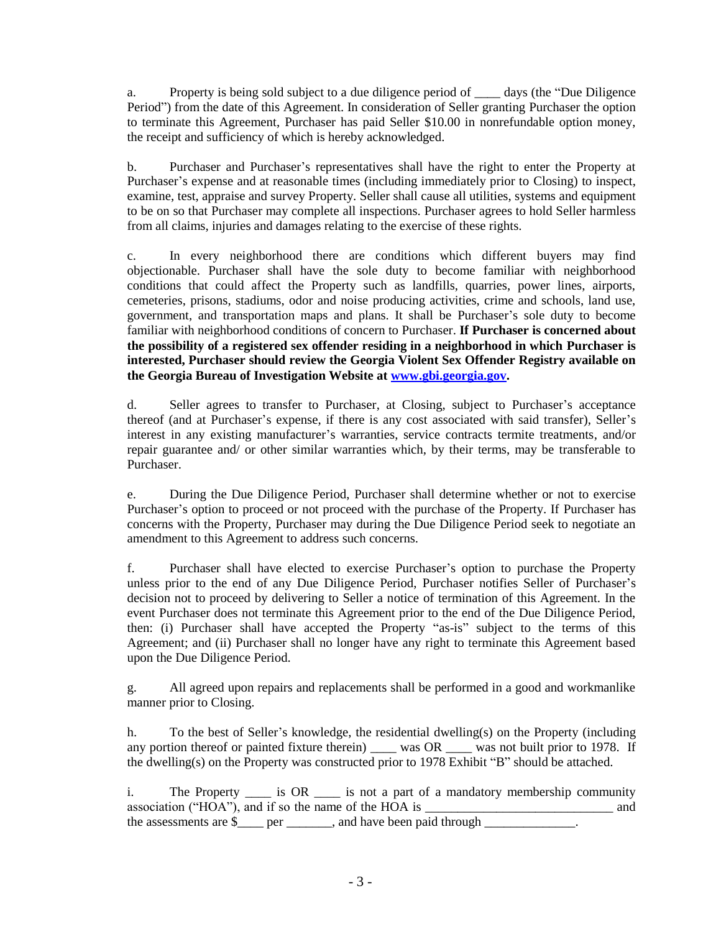a. Property is being sold subject to a due diligence period of days (the "Due Diligence" Period") from the date of this Agreement. In consideration of Seller granting Purchaser the option to terminate this Agreement, Purchaser has paid Seller \$10.00 in nonrefundable option money, the receipt and sufficiency of which is hereby acknowledged.

b. Purchaser and Purchaser's representatives shall have the right to enter the Property at Purchaser's expense and at reasonable times (including immediately prior to Closing) to inspect, examine, test, appraise and survey Property. Seller shall cause all utilities, systems and equipment to be on so that Purchaser may complete all inspections. Purchaser agrees to hold Seller harmless from all claims, injuries and damages relating to the exercise of these rights.

c. In every neighborhood there are conditions which different buyers may find objectionable. Purchaser shall have the sole duty to become familiar with neighborhood conditions that could affect the Property such as landfills, quarries, power lines, airports, cemeteries, prisons, stadiums, odor and noise producing activities, crime and schools, land use, government, and transportation maps and plans. It shall be Purchaser's sole duty to become familiar with neighborhood conditions of concern to Purchaser. **If Purchaser is concerned about the possibility of a registered sex offender residing in a neighborhood in which Purchaser is interested, Purchaser should review the Georgia Violent Sex Offender Registry available on the Georgia Bureau of Investigation Website at [www.gbi.georgia.gov.](http://www.gbi.georgia.gov/)** 

d. Seller agrees to transfer to Purchaser, at Closing, subject to Purchaser's acceptance thereof (and at Purchaser's expense, if there is any cost associated with said transfer), Seller's interest in any existing manufacturer's warranties, service contracts termite treatments, and/or repair guarantee and/ or other similar warranties which, by their terms, may be transferable to Purchaser.

e. During the Due Diligence Period, Purchaser shall determine whether or not to exercise Purchaser's option to proceed or not proceed with the purchase of the Property. If Purchaser has concerns with the Property, Purchaser may during the Due Diligence Period seek to negotiate an amendment to this Agreement to address such concerns.

f. Purchaser shall have elected to exercise Purchaser's option to purchase the Property unless prior to the end of any Due Diligence Period, Purchaser notifies Seller of Purchaser's decision not to proceed by delivering to Seller a notice of termination of this Agreement. In the event Purchaser does not terminate this Agreement prior to the end of the Due Diligence Period, then: (i) Purchaser shall have accepted the Property "as-is" subject to the terms of this Agreement; and (ii) Purchaser shall no longer have any right to terminate this Agreement based upon the Due Diligence Period.

g. All agreed upon repairs and replacements shall be performed in a good and workmanlike manner prior to Closing.

h. To the best of Seller's knowledge, the residential dwelling(s) on the Property (including any portion thereof or painted fixture therein) \_\_\_\_ was OR \_\_\_\_ was not built prior to 1978. If the dwelling(s) on the Property was constructed prior to 1978 Exhibit "B" should be attached.

i. The Property is OR is not a part of a mandatory membership community association ("HOA"), and if so the name of the HOA is  $\qquad$  and the assessments are \$\_\_\_\_ per \_\_\_\_\_\_, and have been paid through \_\_\_\_\_\_\_\_\_\_\_\_\_\_\_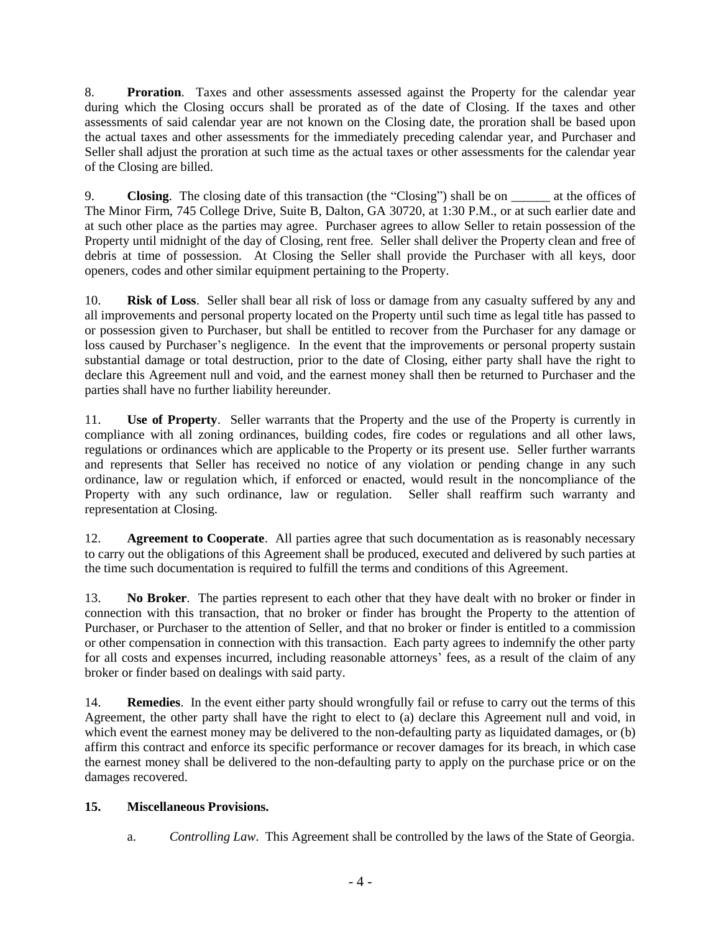8. **Proration**. Taxes and other assessments assessed against the Property for the calendar year during which the Closing occurs shall be prorated as of the date of Closing. If the taxes and other assessments of said calendar year are not known on the Closing date, the proration shall be based upon the actual taxes and other assessments for the immediately preceding calendar year, and Purchaser and Seller shall adjust the proration at such time as the actual taxes or other assessments for the calendar year of the Closing are billed.

9. **Closing**. The closing date of this transaction (the "Closing") shall be on \_\_\_\_\_\_ at the offices of The Minor Firm, 745 College Drive, Suite B, Dalton, GA 30720, at 1:30 P.M., or at such earlier date and at such other place as the parties may agree. Purchaser agrees to allow Seller to retain possession of the Property until midnight of the day of Closing, rent free. Seller shall deliver the Property clean and free of debris at time of possession. At Closing the Seller shall provide the Purchaser with all keys, door openers, codes and other similar equipment pertaining to the Property.

10. **Risk of Loss**. Seller shall bear all risk of loss or damage from any casualty suffered by any and all improvements and personal property located on the Property until such time as legal title has passed to or possession given to Purchaser, but shall be entitled to recover from the Purchaser for any damage or loss caused by Purchaser's negligence. In the event that the improvements or personal property sustain substantial damage or total destruction, prior to the date of Closing, either party shall have the right to declare this Agreement null and void, and the earnest money shall then be returned to Purchaser and the parties shall have no further liability hereunder.

11. **Use of Property**. Seller warrants that the Property and the use of the Property is currently in compliance with all zoning ordinances, building codes, fire codes or regulations and all other laws, regulations or ordinances which are applicable to the Property or its present use. Seller further warrants and represents that Seller has received no notice of any violation or pending change in any such ordinance, law or regulation which, if enforced or enacted, would result in the noncompliance of the Property with any such ordinance, law or regulation. Seller shall reaffirm such warranty and representation at Closing.

12. **Agreement to Cooperate**. All parties agree that such documentation as is reasonably necessary to carry out the obligations of this Agreement shall be produced, executed and delivered by such parties at the time such documentation is required to fulfill the terms and conditions of this Agreement.

13. **No Broker**. The parties represent to each other that they have dealt with no broker or finder in connection with this transaction, that no broker or finder has brought the Property to the attention of Purchaser, or Purchaser to the attention of Seller, and that no broker or finder is entitled to a commission or other compensation in connection with this transaction. Each party agrees to indemnify the other party for all costs and expenses incurred, including reasonable attorneys' fees, as a result of the claim of any broker or finder based on dealings with said party.

14. **Remedies**. In the event either party should wrongfully fail or refuse to carry out the terms of this Agreement, the other party shall have the right to elect to (a) declare this Agreement null and void, in which event the earnest money may be delivered to the non-defaulting party as liquidated damages, or (b) affirm this contract and enforce its specific performance or recover damages for its breach, in which case the earnest money shall be delivered to the non-defaulting party to apply on the purchase price or on the damages recovered.

# **15. Miscellaneous Provisions.**

a. *Controlling Law*. This Agreement shall be controlled by the laws of the State of Georgia.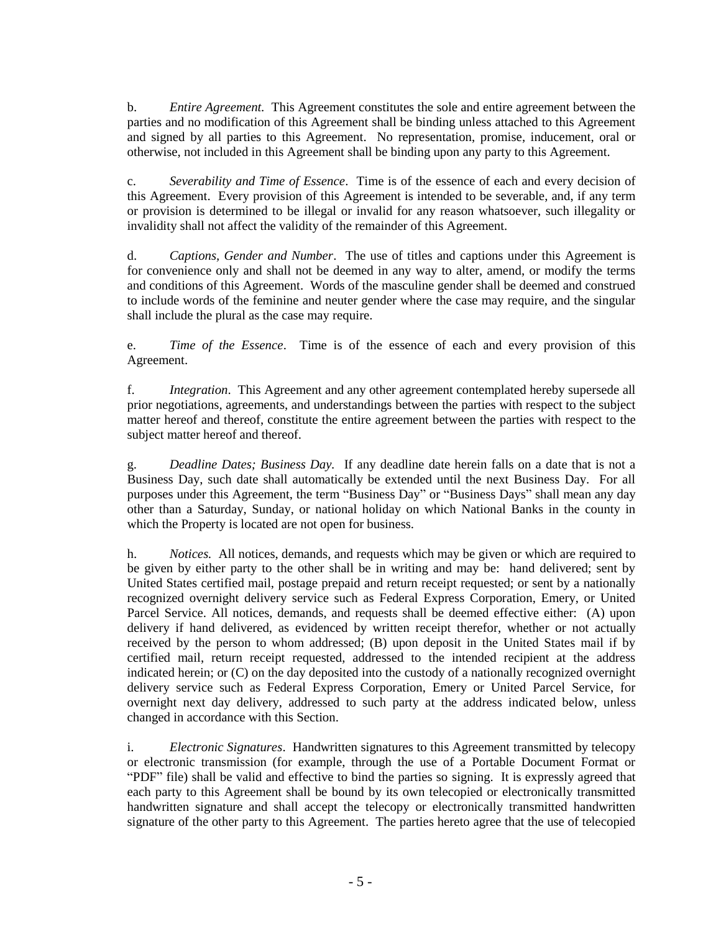b. *Entire Agreement.* This Agreement constitutes the sole and entire agreement between the parties and no modification of this Agreement shall be binding unless attached to this Agreement and signed by all parties to this Agreement. No representation, promise, inducement, oral or otherwise, not included in this Agreement shall be binding upon any party to this Agreement.

c. *Severability and Time of Essence*. Time is of the essence of each and every decision of this Agreement. Every provision of this Agreement is intended to be severable, and, if any term or provision is determined to be illegal or invalid for any reason whatsoever, such illegality or invalidity shall not affect the validity of the remainder of this Agreement.

d. *Captions, Gender and Number*. The use of titles and captions under this Agreement is for convenience only and shall not be deemed in any way to alter, amend, or modify the terms and conditions of this Agreement. Words of the masculine gender shall be deemed and construed to include words of the feminine and neuter gender where the case may require, and the singular shall include the plural as the case may require.

e. *Time of the Essence*. Time is of the essence of each and every provision of this Agreement.

f. *Integration*. This Agreement and any other agreement contemplated hereby supersede all prior negotiations, agreements, and understandings between the parties with respect to the subject matter hereof and thereof, constitute the entire agreement between the parties with respect to the subject matter hereof and thereof.

g. *Deadline Dates; Business Day.* If any deadline date herein falls on a date that is not a Business Day, such date shall automatically be extended until the next Business Day. For all purposes under this Agreement, the term "Business Day" or "Business Days" shall mean any day other than a Saturday, Sunday, or national holiday on which National Banks in the county in which the Property is located are not open for business.

h. *Notices.* All notices, demands, and requests which may be given or which are required to be given by either party to the other shall be in writing and may be: hand delivered; sent by United States certified mail, postage prepaid and return receipt requested; or sent by a nationally recognized overnight delivery service such as Federal Express Corporation, Emery, or United Parcel Service. All notices, demands, and requests shall be deemed effective either: (A) upon delivery if hand delivered, as evidenced by written receipt therefor, whether or not actually received by the person to whom addressed; (B) upon deposit in the United States mail if by certified mail, return receipt requested, addressed to the intended recipient at the address indicated herein; or (C) on the day deposited into the custody of a nationally recognized overnight delivery service such as Federal Express Corporation, Emery or United Parcel Service, for overnight next day delivery, addressed to such party at the address indicated below, unless changed in accordance with this Section.

i. *Electronic Signatures*. Handwritten signatures to this Agreement transmitted by telecopy or electronic transmission (for example, through the use of a Portable Document Format or "PDF" file) shall be valid and effective to bind the parties so signing. It is expressly agreed that each party to this Agreement shall be bound by its own telecopied or electronically transmitted handwritten signature and shall accept the telecopy or electronically transmitted handwritten signature of the other party to this Agreement. The parties hereto agree that the use of telecopied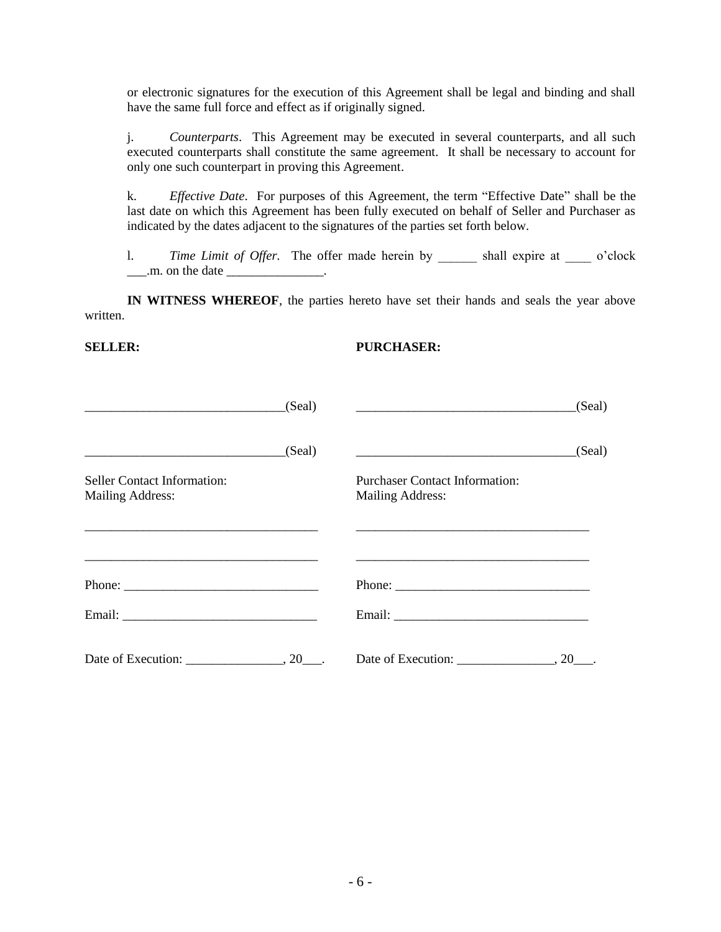or electronic signatures for the execution of this Agreement shall be legal and binding and shall have the same full force and effect as if originally signed.

j. *Counterparts*. This Agreement may be executed in several counterparts, and all such executed counterparts shall constitute the same agreement. It shall be necessary to account for only one such counterpart in proving this Agreement.

<span id="page-5-0"></span>k. *Effective Date*. For purposes of this Agreement, the term "Effective Date" shall be the last date on which this Agreement has been fully executed on behalf of Seller and Purchaser as indicated by the dates adjacent to the signatures of the parties set forth below.

1. *Time Limit of Offer*. The offer made herein by \_\_\_\_\_\_\_ shall expire at \_\_\_\_\_\_ o'clock  $\frac{1}{2}$ .m. on the date  $\frac{1}{2}$ .

**IN WITNESS WHEREOF**, the parties hereto have set their hands and seals the year above written.

#### **SELLER:**

#### **PURCHASER:**

|                                                                                                                       | (Seal) |                                                                                                                                                                                                                                                                                                                                                                                                              | (Seal) |
|-----------------------------------------------------------------------------------------------------------------------|--------|--------------------------------------------------------------------------------------------------------------------------------------------------------------------------------------------------------------------------------------------------------------------------------------------------------------------------------------------------------------------------------------------------------------|--------|
| <u> 1989 - André Maria de Antonio de Antonio de Antonio de Antonio de Antonio de Antonio de Antonio de Antonio de</u> | (Seal) |                                                                                                                                                                                                                                                                                                                                                                                                              | (Seal) |
| Seller Contact Information:<br><b>Mailing Address:</b>                                                                |        | <b>Purchaser Contact Information:</b><br><b>Mailing Address:</b>                                                                                                                                                                                                                                                                                                                                             |        |
|                                                                                                                       |        |                                                                                                                                                                                                                                                                                                                                                                                                              |        |
|                                                                                                                       |        | Phone: $\frac{1}{\sqrt{1-\frac{1}{2}}\sqrt{1-\frac{1}{2}}\sqrt{1-\frac{1}{2}}\sqrt{1-\frac{1}{2}}\sqrt{1-\frac{1}{2}}\sqrt{1-\frac{1}{2}}\sqrt{1-\frac{1}{2}}\sqrt{1-\frac{1}{2}}\sqrt{1-\frac{1}{2}}\sqrt{1-\frac{1}{2}}\sqrt{1-\frac{1}{2}}\sqrt{1-\frac{1}{2}}\sqrt{1-\frac{1}{2}}\sqrt{1-\frac{1}{2}}\sqrt{1-\frac{1}{2}}\sqrt{1-\frac{1}{2}}\sqrt{1-\frac{1}{2}}\sqrt{1-\frac{1}{2}}\sqrt{1-\frac{1}{2$ |        |
|                                                                                                                       |        |                                                                                                                                                                                                                                                                                                                                                                                                              |        |
| Date of Execution: 20.                                                                                                |        | Date of Execution: $\_\_\_\_\_\_$ , 20 $\_\_\_\$ .                                                                                                                                                                                                                                                                                                                                                           |        |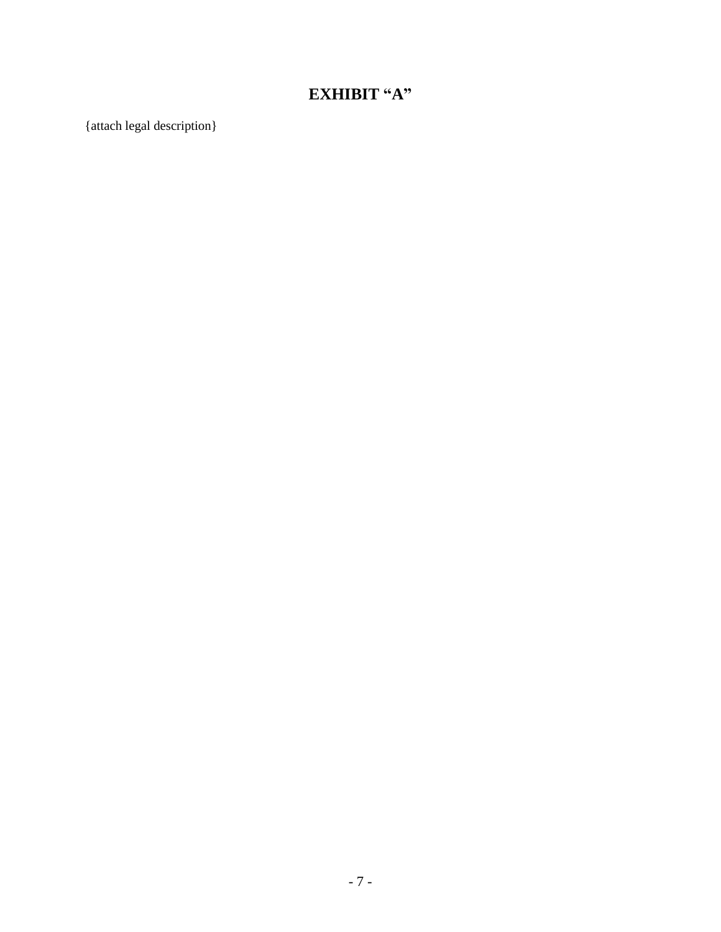# **EXHIBIT "A"**

{attach legal description}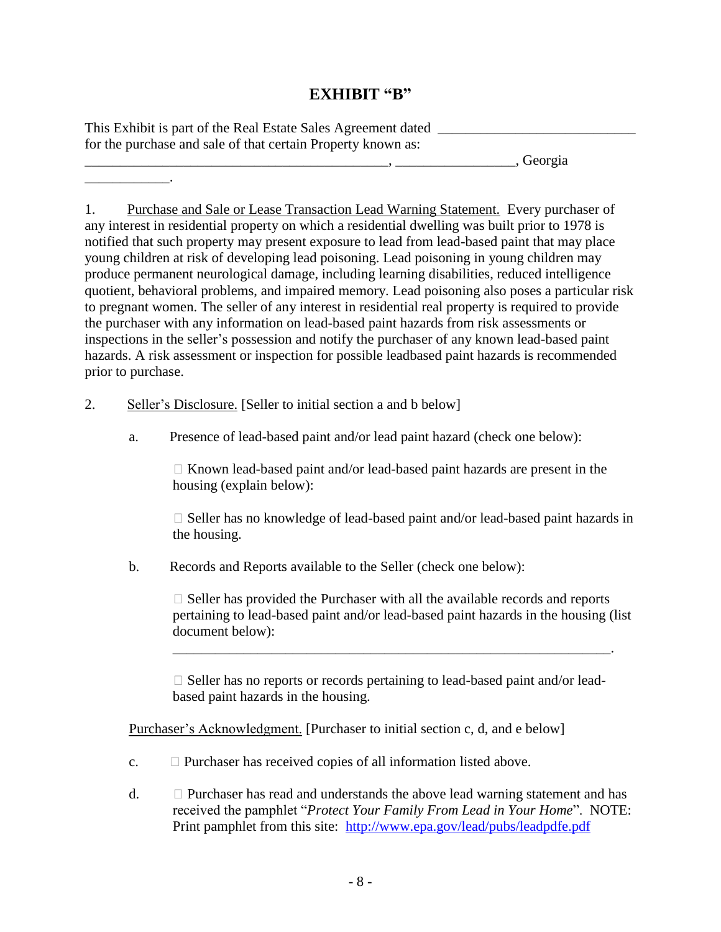# **EXHIBIT "B"**

| This Exhibit is part of the Real Estate Sales Agreement dated |         |
|---------------------------------------------------------------|---------|
| for the purchase and sale of that certain Property known as:  |         |
|                                                               | Georgia |

1. Purchase and Sale or Lease Transaction Lead Warning Statement. Every purchaser of any interest in residential property on which a residential dwelling was built prior to 1978 is notified that such property may present exposure to lead from lead-based paint that may place young children at risk of developing lead poisoning. Lead poisoning in young children may produce permanent neurological damage, including learning disabilities, reduced intelligence quotient, behavioral problems, and impaired memory. Lead poisoning also poses a particular risk to pregnant women. The seller of any interest in residential real property is required to provide the purchaser with any information on lead-based paint hazards from risk assessments or inspections in the seller's possession and notify the purchaser of any known lead-based paint hazards. A risk assessment or inspection for possible leadbased paint hazards is recommended prior to purchase.

2. Seller's Disclosure. [Seller to initial section a and b below]

\_\_\_\_\_\_\_\_\_\_\_\_.

a. Presence of lead-based paint and/or lead paint hazard (check one below):

 $\Box$  Known lead-based paint and/or lead-based paint hazards are present in the housing (explain below):

 $\Box$  Seller has no knowledge of lead-based paint and/or lead-based paint hazards in the housing.

b. Records and Reports available to the Seller (check one below):

 $\Box$  Seller has provided the Purchaser with all the available records and reports pertaining to lead-based paint and/or lead-based paint hazards in the housing (list document below):

 $\Box$  Seller has no reports or records pertaining to lead-based paint and/or leadbased paint hazards in the housing.

\_\_\_\_\_\_\_\_\_\_\_\_\_\_\_\_\_\_\_\_\_\_\_\_\_\_\_\_\_\_\_\_\_\_\_\_\_\_\_\_\_\_\_\_\_\_\_\_\_\_\_\_\_\_\_\_\_\_\_\_\_\_.

Purchaser's Acknowledgment. [Purchaser to initial section c, d, and e below]

- c.  $\Box$  Purchaser has received copies of all information listed above.
- d.  $\Box$  Purchaser has read and understands the above lead warning statement and has received the pamphlet "*Protect Your Family From Lead in Your Home*". NOTE: Print pamphlet from this site: <http://www.epa.gov/lead/pubs/leadpdfe.pdf>